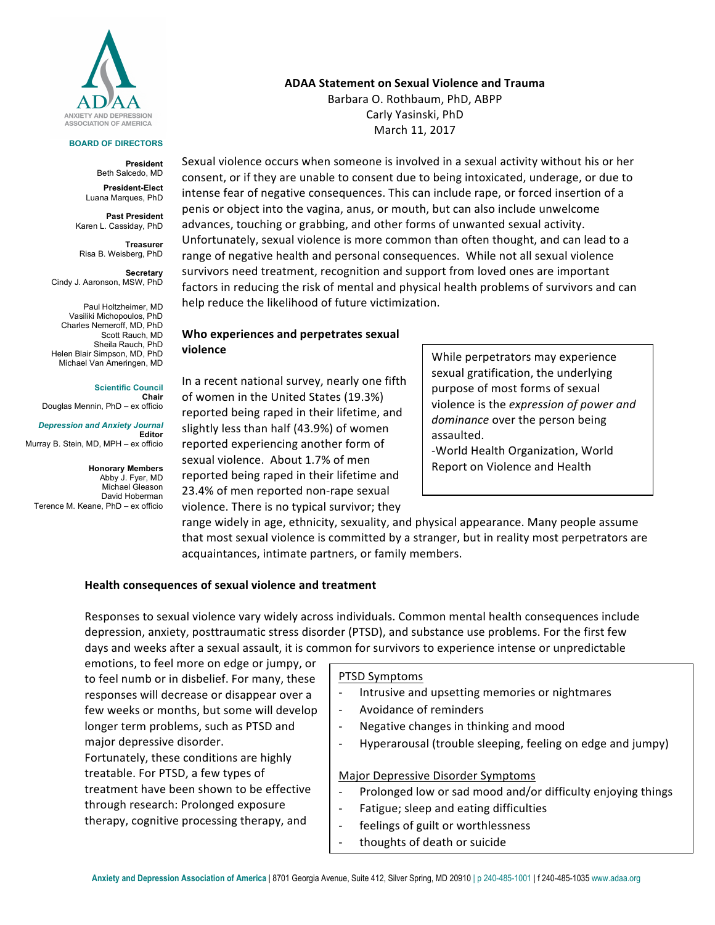

#### **BOARD OF DIRECTORS**

**President** Beth Salcedo, MD

**President-Elect** Luana Marques, PhD

**Past President** Karen L. Cassiday, PhD

**Treasurer** Risa B. Weisberg, PhD

**Secretary**  Cindy J. Aaronson, MSW, PhD

Paul Holtzheimer, MD Vasiliki Michopoulos, PhD Charles Nemeroff, MD, PhD Scott Rauch, MD Sheila Rauch, PhD Helen Blair Simpson, MD, PhD Michael Van Ameringen, MD

**Scientific Council Chair** Douglas Mennin, PhD – ex officio

*Depression and Anxiety Journal* **Editor** Murray B. Stein, MD, MPH – ex officio

**Honorary Members** Abby J. Fyer, MD Michael Gleason David Hoberman Terence M. Keane, PhD – ex officio **ADAA** Statement on Sexual Violence and Trauma

Barbara O. Rothbaum, PhD, ABPP Carly Yasinski, PhD March 11, 2017

Sexual violence occurs when someone is involved in a sexual activity without his or her consent, or if they are unable to consent due to being intoxicated, underage, or due to intense fear of negative consequences. This can include rape, or forced insertion of a penis or object into the vagina, anus, or mouth, but can also include unwelcome advances, touching or grabbing, and other forms of unwanted sexual activity. Unfortunately, sexual violence is more common than often thought, and can lead to a range of negative health and personal consequences. While not all sexual violence survivors need treatment, recognition and support from loved ones are important factors in reducing the risk of mental and physical health problems of survivors and can help reduce the likelihood of future victimization.

## **Who experiences and perpetrates sexual violence**

In a recent national survey, nearly one fifth of women in the United States (19.3%) reported being raped in their lifetime, and slightly less than half (43.9%) of women reported experiencing another form of sexual violence. About 1.7% of men reported being raped in their lifetime and 23.4% of men reported non-rape sexual violence. There is no typical survivor; they

While perpetrators may experience sexual gratification, the underlying purpose of most forms of sexual violence is the *expression of power and* dominance over the person being assaulted. 

-World Health Organization, World Report on Violence and Health

range widely in age, ethnicity, sexuality, and physical appearance. Many people assume that most sexual violence is committed by a stranger, but in reality most perpetrators are acquaintances, intimate partners, or family members.

### **Health consequences of sexual violence and treatment**

Responses to sexual violence vary widely across individuals. Common mental health consequences include depression, anxiety, posttraumatic stress disorder (PTSD), and substance use problems. For the first few days and weeks after a sexual assault, it is common for survivors to experience intense or unpredictable

emotions, to feel more on edge or jumpy, or to feel numb or in disbelief. For many, these responses will decrease or disappear over a few weeks or months, but some will develop longer term problems, such as PTSD and major depressive disorder. Fortunately, these conditions are highly

treatable. For PTSD, a few types of treatment have been shown to be effective through research: Prolonged exposure therapy, cognitive processing therapy, and

#### PTSD Symptoms

Intrusive and upsetting memories or nightmares

- Avoidance of reminders
- Negative changes in thinking and mood
- Hyperarousal (trouble sleeping, feeling on edge and jumpy)

Major Depressive Disorder Symptoms

- Prolonged low or sad mood and/or difficulty enjoying things
- Fatigue; sleep and eating difficulties
- feelings of guilt or worthlessness
- thoughts of death or suicide